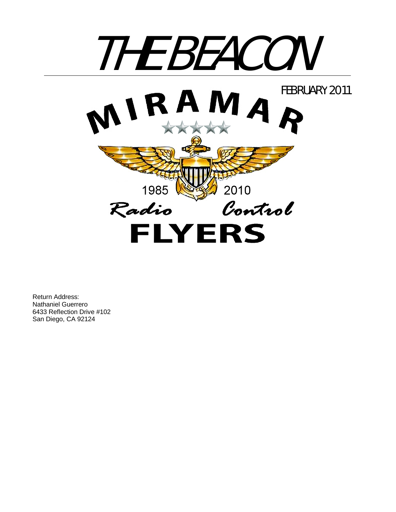

Return Address: Nathaniel Guerrero 6433 Reflection Drive #102 San Diego, CA 92124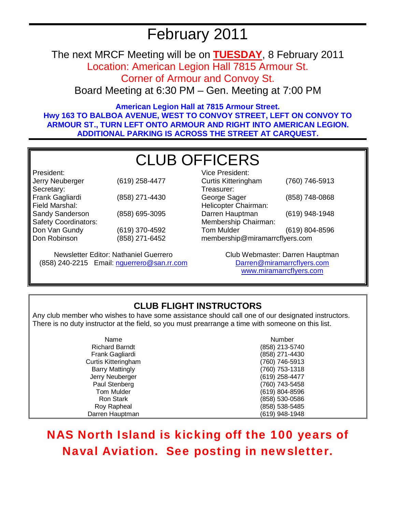# February 2011

The next MRCF Meeting will be on **TUESDAY**, 8 February 2011

Location: American Legion Hall 7815 Armour St.

Corner of Armour and Convoy St.

Board Meeting at 6:30 PM – Gen. Meeting at 7:00 PM

**American Legion Hall at 7815 Armour Street. Hwy 163 TO BALBOA AVENUE, WEST TO CONVOY STREET, LEFT ON CONVOY TO ARMOUR ST., TURN LEFT ONTO ARMOUR AND RIGHT INTO AMERICAN LEGION. ADDITIONAL PARKING IS ACROSS THE STREET AT CARQUEST.** 

# CLUB OFFICERS

President: Jerry Neuberger (619) 258-4477 Secretary: Frank Gagliardi (858) 271-4430 Field Marshal: Sandy Sanderson (858) 695-3095 Safety Coordinators: Don Van Gundy Don Robinson (619) 370-4592 (858) 271-6452

Newsletter Editor: Nathaniel Guerrero (858) 240-2215 Email: nguerrero@san.rr.com

| <b>Vice President:</b>         |                |  |
|--------------------------------|----------------|--|
| <b>Curtis Kitteringham</b>     | (760) 746-5913 |  |
| Treasurer:                     |                |  |
| George Sager                   | (858) 748-0868 |  |
| Helicopter Chairman:           |                |  |
| Darren Hauptman                | (619) 948-1948 |  |
| Membership Chairman:           |                |  |
| <b>Tom Mulder</b>              | (619) 804-8596 |  |
| membership@miramarrcflyers.com |                |  |

Club Webmaster: Darren Hauptman Darren@miramarrcflyers.com www.miramarrcflyers.com

# **CLUB FLIGHT INSTRUCTORS**

Any club member who wishes to have some assistance should call one of our designated instructors. There is no duty instructor at the field, so you must prearrange a time with someone on this list.

| Name                   | Number         |
|------------------------|----------------|
| <b>Richard Barndt</b>  | (858) 213-5740 |
| Frank Gagliardi        | (858) 271-4430 |
| Curtis Kitteringham    | (760) 746-5913 |
| <b>Barry Mattingly</b> | (760) 753-1318 |
| Jerry Neuberger        | (619) 258-4477 |
| Paul Stenberg          | (760) 743-5458 |
| Tom Mulder             | (619) 804-8596 |
| <b>Ron Stark</b>       | (858) 530-0586 |
| Roy Rapheal            | (858) 538-5485 |
| Darren Hauptman        | (619) 948-1948 |

NAS North Island is kicking off the 100 years of Naval Aviation. See posting in newsletter.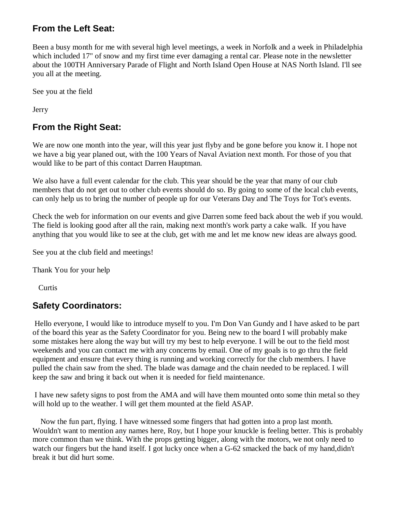## **From the Left Seat:**

Been a busy month for me with several high level meetings, a week in Norfolk and a week in Philadelphia which included 17" of snow and my first time ever damaging a rental car. Please note in the newsletter about the 100TH Anniversary Parade of Flight and North Island Open House at NAS North Island. I'll see you all at the meeting.

See you at the field

Jerry

# **From the Right Seat:**

We are now one month into the year, will this year just flyby and be gone before you know it. I hope not we have a big year planed out, with the 100 Years of Naval Aviation next month. For those of you that would like to be part of this contact Darren Hauptman.

We also have a full event calendar for the club. This year should be the year that many of our club members that do not get out to other club events should do so. By going to some of the local club events, can only help us to bring the number of people up for our Veterans Day and The Toys for Tot's events.

Check the web for information on our events and give Darren some feed back about the web if you would. The field is looking good after all the rain, making next month's work party a cake walk. If you have anything that you would like to see at the club, get with me and let me know new ideas are always good.

See you at the club field and meetings!

Thank You for your help

**Curtis** 

### **Safety Coordinators:**

 Hello everyone, I would like to introduce myself to you. I'm Don Van Gundy and I have asked to be part of the board this year as the Safety Coordinator for you. Being new to the board I will probably make some mistakes here along the way but will try my best to help everyone. I will be out to the field most weekends and you can contact me with any concerns by email. One of my goals is to go thru the field equipment and ensure that every thing is running and working correctly for the club members. I have pulled the chain saw from the shed. The blade was damage and the chain needed to be replaced. I will keep the saw and bring it back out when it is needed for field maintenance.

 I have new safety signs to post from the AMA and will have them mounted onto some thin metal so they will hold up to the weather. I will get them mounted at the field ASAP.

 Now the fun part, flying. I have witnessed some fingers that had gotten into a prop last month. Wouldn't want to mention any names here, Roy, but I hope your knuckle is feeling better. This is probably more common than we think. With the props getting bigger, along with the motors, we not only need to watch our fingers but the hand itself. I got lucky once when a G-62 smacked the back of my hand,didn't break it but did hurt some.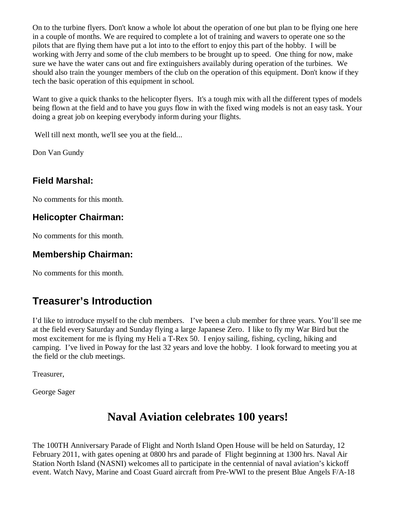On to the turbine flyers. Don't know a whole lot about the operation of one but plan to be flying one here in a couple of months. We are required to complete a lot of training and wavers to operate one so the pilots that are flying them have put a lot into to the effort to enjoy this part of the hobby. I will be working with Jerry and some of the club members to be brought up to speed. One thing for now, make sure we have the water cans out and fire extinguishers availably during operation of the turbines. We should also train the younger members of the club on the operation of this equipment. Don't know if they tech the basic operation of this equipment in school.

Want to give a quick thanks to the helicopter flyers. It's a tough mix with all the different types of models being flown at the field and to have you guys flow in with the fixed wing models is not an easy task. Your doing a great job on keeping everybody inform during your flights.

Well till next month, we'll see you at the field...

Don Van Gundy

## **Field Marshal:**

No comments for this month.

## **Helicopter Chairman:**

No comments for this month.

### **Membership Chairman:**

No comments for this month.

# **Treasurer's Introduction**

I'd like to introduce myself to the club members. I've been a club member for three years. You'll see me at the field every Saturday and Sunday flying a large Japanese Zero. I like to fly my War Bird but the most excitement for me is flying my Heli a T-Rex 50. I enjoy sailing, fishing, cycling, hiking and camping. I've lived in Poway for the last 32 years and love the hobby. I look forward to meeting you at the field or the club meetings.

Treasurer,

George Sager

# **Naval Aviation celebrates 100 years!**

The 100TH Anniversary Parade of Flight and North Island Open House will be held on Saturday, 12 February 2011, with gates opening at 0800 hrs and parade of Flight beginning at 1300 hrs. Naval Air Station North Island (NASNI) welcomes all to participate in the centennial of naval aviation's kickoff event. Watch Navy, Marine and Coast Guard aircraft from Pre-WWI to the present Blue Angels F/A-18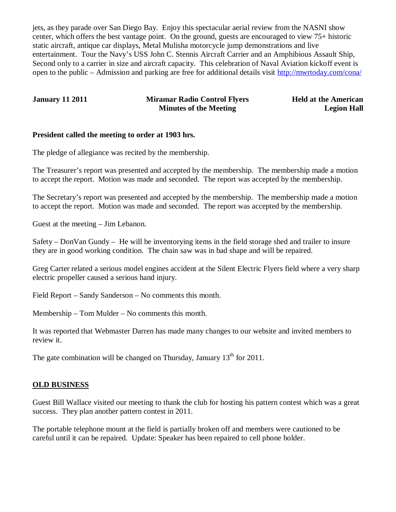jets, as they parade over San Diego Bay. Enjoy this spectacular aerial review from the NASNI show center, which offers the best vantage point. On the ground, guests are encouraged to view 75+ historic static aircraft, antique car displays, Metal Mulisha motorcycle jump demonstrations and live entertainment. Tour the Navy's USS John C. Stennis Aircraft Carrier and an Amphibious Assault Ship, Second only to a carrier in size and aircraft capacity. This celebration of Naval Aviation kickoff event is open to the public – Admission and parking are free for additional details visit http://mwrtoday.com/cona/

#### **January 11 2011 Miramar Radio Control Flyers Minutes of the Meeting**

**Held at the American Legion Hall**

#### **President called the meeting to order at 1903 hrs.**

The pledge of allegiance was recited by the membership.

The Treasurer's report was presented and accepted by the membership. The membership made a motion to accept the report. Motion was made and seconded. The report was accepted by the membership.

The Secretary's report was presented and accepted by the membership. The membership made a motion to accept the report. Motion was made and seconded. The report was accepted by the membership.

Guest at the meeting – Jim Lebanon.

Safety – DonVan Gundy – He will be inventorying items in the field storage shed and trailer to insure they are in good working condition. The chain saw was in bad shape and will be repaired.

Greg Carter related a serious model engines accident at the Silent Electric Flyers field where a very sharp electric propeller caused a serious hand injury.

Field Report – Sandy Sanderson – No comments this month.

Membership – Tom Mulder – No comments this month.

It was reported that Webmaster Darren has made many changes to our website and invited members to review it.

The gate combination will be changed on Thursday, January  $13<sup>th</sup>$  for 2011.

#### **OLD BUSINESS**

Guest Bill Wallace visited our meeting to thank the club for hosting his pattern contest which was a great success. They plan another pattern contest in 2011.

The portable telephone mount at the field is partially broken off and members were cautioned to be careful until it can be repaired. Update: Speaker has been repaired to cell phone holder.